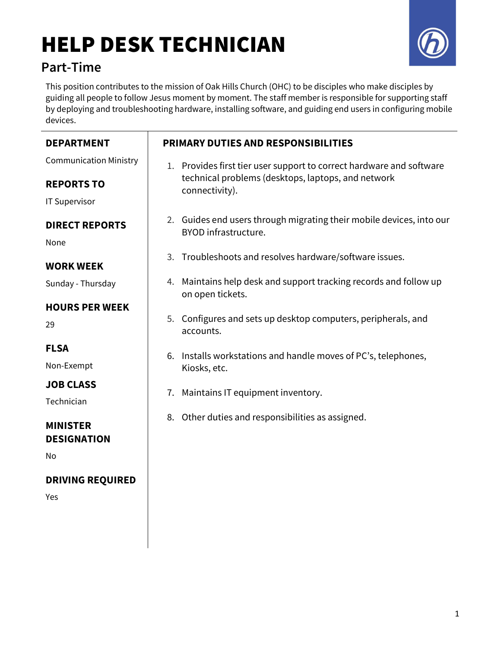# HELP DESK TECHNICIAN



## Part-Time

This position contributes to the mission of Oak Hills Church (OHC) to be disciples who make disciples by guiding all people to follow Jesus moment by moment. The staff member is responsible for supporting staff by deploying and troubleshooting hardware, installing software, and guiding end users in configuring mobile devices.

| <b>DEPARTMENT</b>                     | PRIMARY DUTIES AND RESPONSIBILITIES                                                          |  |
|---------------------------------------|----------------------------------------------------------------------------------------------|--|
| <b>Communication Ministry</b>         | 1. Provides first tier user support to correct hardware and software                         |  |
| <b>REPORTS TO</b>                     | technical problems (desktops, laptops, and network<br>connectivity).                         |  |
| <b>IT Supervisor</b>                  |                                                                                              |  |
| <b>DIRECT REPORTS</b><br>None         | 2. Guides end users through migrating their mobile devices, into our<br>BYOD infrastructure. |  |
| <b>WORK WEEK</b>                      | Troubleshoots and resolves hardware/software issues.<br>3.                                   |  |
| Sunday - Thursday                     | 4. Maintains help desk and support tracking records and follow up<br>on open tickets.        |  |
| <b>HOURS PER WEEK</b><br>29           | 5. Configures and sets up desktop computers, peripherals, and<br>accounts.                   |  |
| <b>FLSA</b><br>Non-Exempt             | Installs workstations and handle moves of PC's, telephones,<br>6.<br>Kiosks, etc.            |  |
| <b>JOB CLASS</b><br>Technician        | 7. Maintains IT equipment inventory.                                                         |  |
| <b>MINISTER</b><br><b>DESIGNATION</b> | 8. Other duties and responsibilities as assigned.                                            |  |
| No                                    |                                                                                              |  |
| <b>DRIVING REQUIRED</b>               |                                                                                              |  |
| Yes                                   |                                                                                              |  |
|                                       |                                                                                              |  |
|                                       |                                                                                              |  |